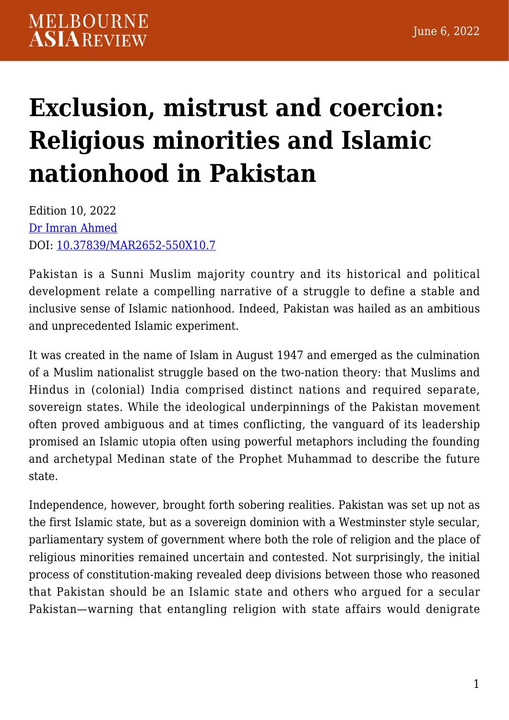## **[Exclusion, mistrust and coercion:](https://melbourneasiareview.edu.au/exclusion-mistrust-and-coercion-religious-minorities-and-islamic-nationhood-in-pakistan/) [Religious minorities and Islamic](https://melbourneasiareview.edu.au/exclusion-mistrust-and-coercion-religious-minorities-and-islamic-nationhood-in-pakistan/) [nationhood in Pakistan](https://melbourneasiareview.edu.au/exclusion-mistrust-and-coercion-religious-minorities-and-islamic-nationhood-in-pakistan/)**

Edition 10, 2022 [Dr Imran Ahmed](https://www.isas.nus.edu.sg/research_team/dr-imran-ahmed/) DOI: 10.37839/MAR2652-550X10.7

Pakistan is a Sunni Muslim majority country and its historical and political development relate a compelling narrative of a struggle to define a stable and inclusive sense of Islamic nationhood. Indeed, Pakistan was hailed as an ambitious and unprecedented Islamic experiment.

It was created in the name of Islam in August 1947 and emerged as the culmination of a Muslim nationalist struggle based on the two-nation theory: that Muslims and Hindus in (colonial) India comprised distinct nations and required separate, sovereign states. While the ideological underpinnings of the Pakistan movement often proved ambiguous and at times conflicting, the vanguard of its leadership promised an Islamic utopia often using powerful metaphors including the founding and archetypal Medinan state of the Prophet Muhammad to describe the future state.

Independence, however, brought forth sobering realities. Pakistan was set up not as the first Islamic state, but as a sovereign dominion with a Westminster style secular, parliamentary system of government where both the role of religion and the place of religious minorities remained uncertain and contested. Not surprisingly, the initial process of constitution-making revealed deep divisions between those who reasoned that Pakistan should be an Islamic state and others who argued for a secular Pakistan—warning that entangling religion with state affairs would denigrate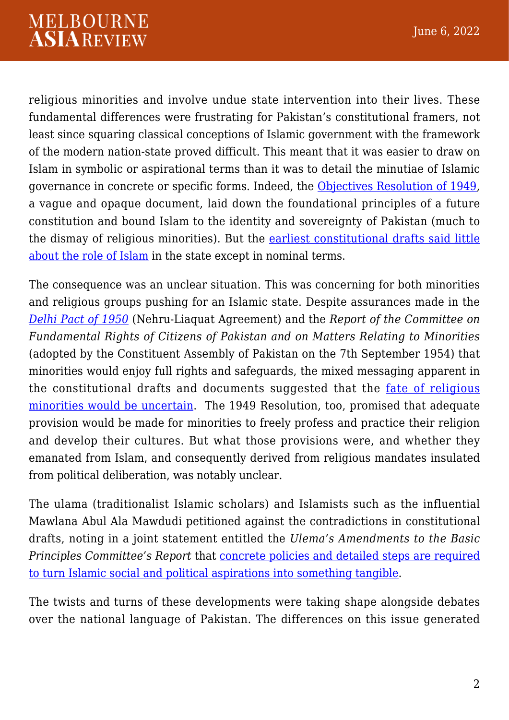religious minorities and involve undue state intervention into their lives. These fundamental differences were frustrating for Pakistan's constitutional framers, not least since squaring classical conceptions of Islamic government with the framework of the modern nation-state proved difficult. This meant that it was easier to draw on Islam in symbolic or aspirational terms than it was to detail the minutiae of Islamic governance in concrete or specific forms. Indeed, the [Objectives Resolution of 1949,](https://na.gov.pk/uploads/documents/1434604126_750.pdf) a vague and opaque document, laid down the foundational principles of a future constitution and bound Islam to the identity and sovereignty of Pakistan (much to the dismay of religious minorities). But the [earliest constitutional drafts said little](https://ecatalog.punjab.gov.pk/cgi-bin/koha/opac-detail.pl?biblionumber=1569091) [about the role of Islam](https://ecatalog.punjab.gov.pk/cgi-bin/koha/opac-detail.pl?biblionumber=1569091) in the state except in nominal terms.

The consequence was an unclear situation. This was concerning for both minorities and religious groups pushing for an Islamic state. Despite assurances made in the *[Delhi Pact of 1950](https://mea.gov.in/Portal/LegalTreatiesDoc/PA50B1228.pdf)* (Nehru-Liaquat Agreement) and the *Report of the Committee on Fundamental Rights of Citizens of Pakistan and on Matters Relating to Minorities* (adopted by the Constituent Assembly of Pakistan on the 7th September 1954) that minorities would enjoy full rights and safeguards, the mixed messaging apparent in the constitutional drafts and documents suggested that the [fate of religious](https://ecatalog.punjab.gov.pk/cgi-bin/koha/opac-detail.pl?biblionumber=1569091) [minorities would be uncertain](https://ecatalog.punjab.gov.pk/cgi-bin/koha/opac-detail.pl?biblionumber=1569091). The 1949 Resolution, too, promised that adequate provision would be made for minorities to freely profess and practice their religion and develop their cultures. But what those provisions were, and whether they emanated from Islam, and consequently derived from religious mandates insulated from political deliberation, was notably unclear.

The ulama (traditionalist Islamic scholars) and Islamists such as the influential Mawlana Abul Ala Mawdudi petitioned against the contradictions in constitutional drafts, noting in a joint statement entitled the *Ulema's Amendments to the Basic Principles Committee's Report* that [concrete policies and detailed steps are required](https://catalogue.nla.gov.au/Record/893002) [to turn Islamic social and political aspirations into something tangible](https://catalogue.nla.gov.au/Record/893002).

The twists and turns of these developments were taking shape alongside debates over the national language of Pakistan. The differences on this issue generated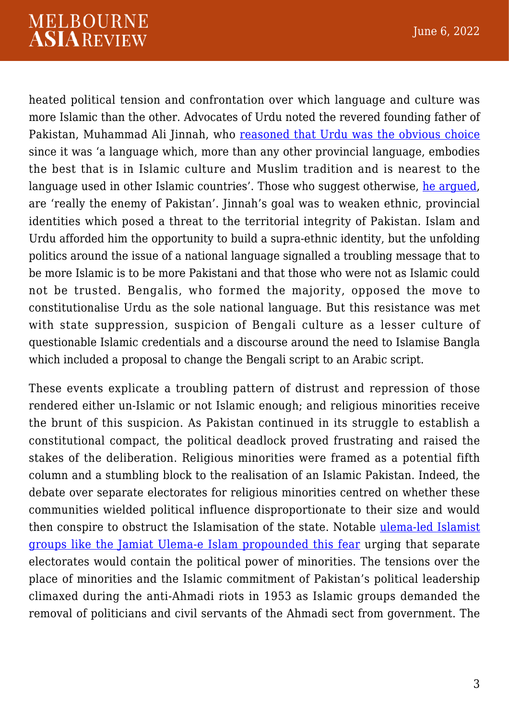## **MELBOURNE ASIAREVIEW**

heated political tension and confrontation over which language and culture was more Islamic than the other. Advocates of Urdu noted the revered founding father of Pakistan, Muhammad Ali Jinnah, who [reasoned that Urdu was the obvious choice](https://www.thenews.com.pk/tns/detail/561906-jinnah-culture-language) since it was 'a language which, more than any other provincial language, embodies the best that is in Islamic culture and Muslim tradition and is nearest to the language used in other Islamic countries'. Those who suggest otherwise, [he argued,](http://www.columbia.edu/itc/mealac/pritchett/00islamlinks/txt_jinnah_dacca_1948.html) are 'really the enemy of Pakistan'. Jinnah's goal was to weaken ethnic, provincial identities which posed a threat to the territorial integrity of Pakistan. Islam and Urdu afforded him the opportunity to build a supra-ethnic identity, but the unfolding politics around the issue of a national language signalled a troubling message that to be more Islamic is to be more Pakistani and that those who were not as Islamic could not be trusted. Bengalis, who formed the majority, opposed the move to constitutionalise Urdu as the sole national language. But this resistance was met with state suppression, suspicion of Bengali culture as a lesser culture of questionable Islamic credentials and a discourse around the need to Islamise Bangla which included a proposal to change the Bengali script to an Arabic script.

These events explicate a troubling pattern of distrust and repression of those rendered either un-Islamic or not Islamic enough; and religious minorities receive the brunt of this suspicion. As Pakistan continued in its struggle to establish a constitutional compact, the political deadlock proved frustrating and raised the stakes of the deliberation. Religious minorities were framed as a potential fifth column and a stumbling block to the realisation of an Islamic Pakistan. Indeed, the debate over separate electorates for religious minorities centred on whether these communities wielded political influence disproportionate to their size and would then conspire to obstruct the Islamisation of the state. Notable [ulema-led Islamist](https://www.worldcat.org/title/politics-of-the-jamiat-ulema-i-islam-pakistan-1971-1977/oclc/471035582) [groups like the Jamiat Ulema-e Islam propounded this fear](https://www.worldcat.org/title/politics-of-the-jamiat-ulema-i-islam-pakistan-1971-1977/oclc/471035582) urging that separate electorates would contain the political power of minorities. The tensions over the place of minorities and the Islamic commitment of Pakistan's political leadership climaxed during the anti-Ahmadi riots in 1953 as Islamic groups demanded the removal of politicians and civil servants of the Ahmadi sect from government. The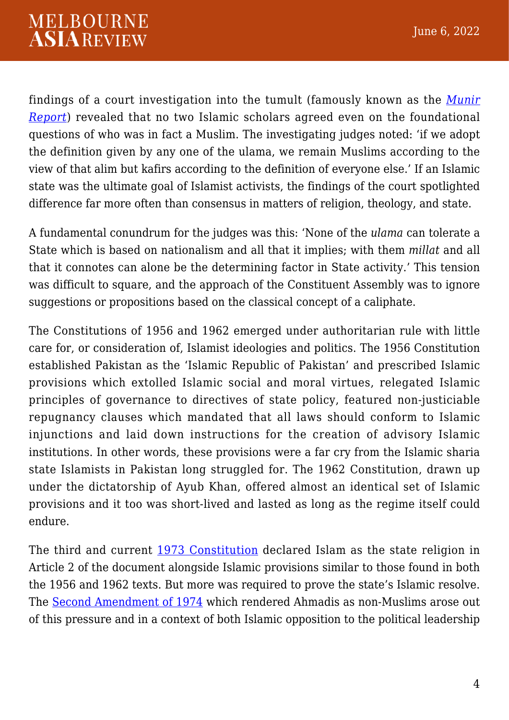findings of a court investigation into the tumult (famously known as the *[Munir](https://www.thepersecution.org/dl/report_1953.pdf) [Report](https://www.thepersecution.org/dl/report_1953.pdf)*) revealed that no two Islamic scholars agreed even on the foundational questions of who was in fact a Muslim. The investigating judges noted: 'if we adopt the definition given by any one of the ulama, we remain Muslims according to the view of that alim but kafirs according to the definition of everyone else.' If an Islamic state was the ultimate goal of Islamist activists, the findings of the court spotlighted difference far more often than consensus in matters of religion, theology, and state.

A fundamental conundrum for the judges was this: 'None of the *ulama* can tolerate a State which is based on nationalism and all that it implies; with them *millat* and all that it connotes can alone be the determining factor in State activity.' This tension was difficult to square, and the approach of the Constituent Assembly was to ignore suggestions or propositions based on the classical concept of a caliphate.

The Constitutions of 1956 and 1962 emerged under authoritarian rule with little care for, or consideration of, Islamist ideologies and politics. The 1956 Constitution established Pakistan as the 'Islamic Republic of Pakistan' and prescribed Islamic provisions which extolled Islamic social and moral virtues, relegated Islamic principles of governance to directives of state policy, featured non-justiciable repugnancy clauses which mandated that all laws should conform to Islamic injunctions and laid down instructions for the creation of advisory Islamic institutions. In other words, these provisions were a far cry from the Islamic sharia state Islamists in Pakistan long struggled for. The 1962 Constitution, drawn up under the dictatorship of Ayub Khan, offered almost an identical set of Islamic provisions and it too was short-lived and lasted as long as the regime itself could endure.

The third and current [1973 Constitution](https://www.constituteproject.org/constitution/Pakistan_2018?lang=en) declared Islam as the state religion in Article 2 of the document alongside Islamic provisions similar to those found in both the 1956 and 1962 texts. But more was required to prove the state's Islamic resolve. The [Second Amendment of 1974](https://na.gov.pk/uploads/documents/1491799433_754.pdf) which rendered Ahmadis as non-Muslims arose out of this pressure and in a context of both Islamic opposition to the political leadership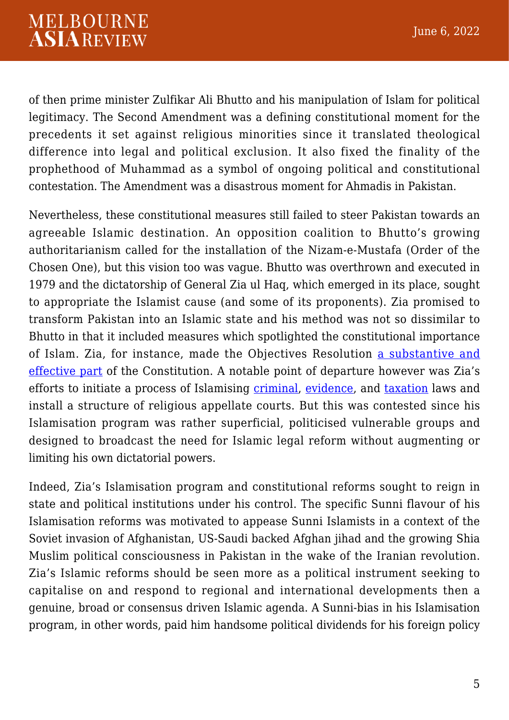of then prime minister Zulfikar Ali Bhutto and his manipulation of Islam for political legitimacy. The Second Amendment was a defining constitutional moment for the precedents it set against religious minorities since it translated theological difference into legal and political exclusion. It also fixed the finality of the prophethood of Muhammad as a symbol of ongoing political and constitutional contestation. The Amendment was a disastrous moment for Ahmadis in Pakistan.

Nevertheless, these constitutional measures still failed to steer Pakistan towards an agreeable Islamic destination. An opposition coalition to Bhutto's growing authoritarianism called for the installation of the Nizam-e-Mustafa (Order of the Chosen One), but this vision too was vague. Bhutto was overthrown and executed in 1979 and the dictatorship of General Zia ul Haq, which emerged in its place, sought to appropriate the Islamist cause (and some of its proponents). Zia promised to transform Pakistan into an Islamic state and his method was not so dissimilar to Bhutto in that it included measures which spotlighted the constitutional importance of Islam. Zia, for instance, made the Objectives Resolution [a substantive and](https://sahsol.lums.edu.pk/law-journal/evolution-role-objectives-resolution-constitutional-paradigm-pakistan-–-framers’-intent) [effective part](https://sahsol.lums.edu.pk/law-journal/evolution-role-objectives-resolution-constitutional-paradigm-pakistan-–-framers’-intent) of the Constitution. A notable point of departure however was Zia's efforts to initiate a process of Islamising [criminal,](http://nasirlawsite.com/laws/ooz.htm) [evidence](http://nasirlawsite.com/laws/evidence.htm), and [taxation](http://nasirlawsite.com/laws/zakat80.htm) laws and install a structure of religious appellate courts. But this was contested since his Islamisation program was rather superficial, politicised vulnerable groups and designed to broadcast the need for Islamic legal reform without augmenting or limiting his own dictatorial powers.

Indeed, Zia's Islamisation program and constitutional reforms sought to reign in state and political institutions under his control. The specific Sunni flavour of his Islamisation reforms was motivated to appease Sunni Islamists in a context of the Soviet invasion of Afghanistan, US-Saudi backed Afghan jihad and the growing Shia Muslim political consciousness in Pakistan in the wake of the Iranian revolution. Zia's Islamic reforms should be seen more as a political instrument seeking to capitalise on and respond to regional and international developments then a genuine, broad or consensus driven Islamic agenda. A Sunni-bias in his Islamisation program, in other words, paid him handsome political dividends for his foreign policy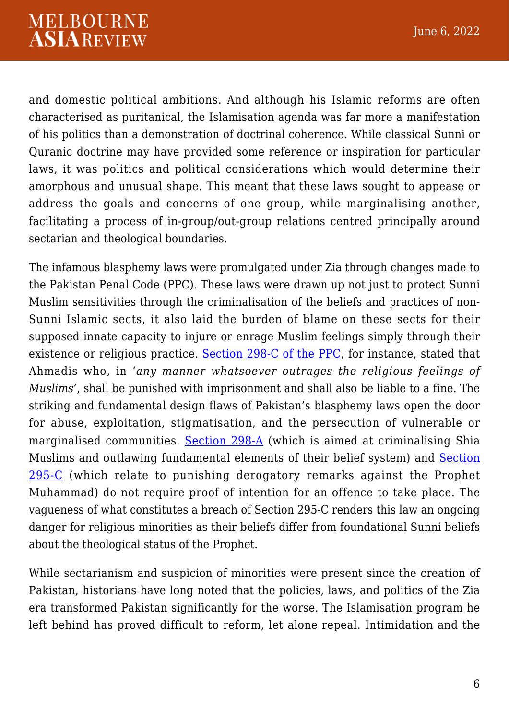and domestic political ambitions. And although his Islamic reforms are often characterised as puritanical, the Islamisation agenda was far more a manifestation of his politics than a demonstration of doctrinal coherence. While classical Sunni or Quranic doctrine may have provided some reference or inspiration for particular laws, it was politics and political considerations which would determine their amorphous and unusual shape. This meant that these laws sought to appease or address the goals and concerns of one group, while marginalising another, facilitating a process of in-group/out-group relations centred principally around sectarian and theological boundaries.

The infamous blasphemy laws were promulgated under Zia through changes made to the Pakistan Penal Code (PPC). These laws were drawn up not just to protect Sunni Muslim sensitivities through the criminalisation of the beliefs and practices of non-Sunni Islamic sects, it also laid the burden of blame on these sects for their supposed innate capacity to injure or enrage Muslim feelings simply through their existence or religious practice. [Section 298-C of the PPC,](http://nasirlawsite.com/laws/aiaqg.htm) for instance, stated that Ahmadis who, in '*any manner whatsoever outrages the religious feelings of Muslims'*, shall be punished with imprisonment and shall also be liable to a fine. The striking and fundamental design flaws of Pakistan's blasphemy laws open the door for abuse, exploitation, stigmatisation, and the persecution of vulnerable or marginalised communities. [Section 298-A](https://scholarship.law.umn.edu/cgi/viewcontent.cgi?article=1024&context=mjil) (which is aimed at criminalising Shia Muslims and outlawing fundamental elements of their belief system) and [Section](https://na.gov.pk/uploads/documents/1336706085_960.pdf) [295-C](https://na.gov.pk/uploads/documents/1336706085_960.pdf) (which relate to punishing derogatory remarks against the Prophet Muhammad) do not require proof of intention for an offence to take place. The vagueness of what constitutes a breach of Section 295-C renders this law an ongoing danger for religious minorities as their beliefs differ from foundational Sunni beliefs about the theological status of the Prophet.

While sectarianism and suspicion of minorities were present since the creation of Pakistan, historians have long noted that the policies, laws, and politics of the Zia era transformed Pakistan significantly for the worse. The Islamisation program he left behind has proved difficult to reform, let alone repeal. Intimidation and the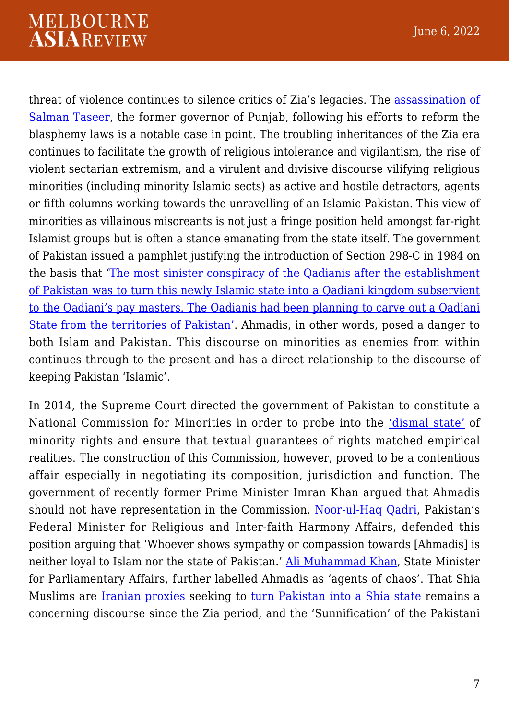## **MELBOURNE ASIAREVIEW**

threat of violence continues to silence critics of Zia's legacies. The [assassination of](https://www.theguardian.com/world/2011/jan/05/pakistan-salman-taseer-liberal) [Salman Taseer,](https://www.theguardian.com/world/2011/jan/05/pakistan-salman-taseer-liberal) the former governor of Punjab, following his efforts to reform the blasphemy laws is a notable case in point. The troubling inheritances of the Zia era continues to facilitate the growth of religious intolerance and vigilantism, the rise of violent sectarian extremism, and a virulent and divisive discourse vilifying religious minorities (including minority Islamic sects) as active and hostile detractors, agents or fifth columns working towards the unravelling of an Islamic Pakistan. This view of minorities as villainous miscreants is not just a fringe position held amongst far-right Islamist groups but is often a stance emanating from the state itself. The government of Pakistan issued a pamphlet justifying the introduction of Section 298-C in 1984 on the basis that ['The most sinister conspiracy of the Qadianis after the establishment](https://catalogue.nla.gov.au/Record/7341238) [of Pakistan was to turn this newly Islamic state into a Qadiani kingdom subservient](https://catalogue.nla.gov.au/Record/7341238) [to the Qadiani's pay masters. The Qadianis had been planning to carve out a Qadiani](https://catalogue.nla.gov.au/Record/7341238) [State from the territories of Pakistan'](https://catalogue.nla.gov.au/Record/7341238). Ahmadis, in other words, posed a danger to both Islam and Pakistan. This discourse on minorities as enemies from within continues through to the present and has a direct relationship to the discourse of keeping Pakistan 'Islamic'.

In 2014, the Supreme Court directed the government of Pakistan to constitute a National Commission for Minorities in order to probe into the ['dismal state'](https://globalfreedomofexpression.columbia.edu/wp-content/uploads/2015/04/smc_1_2014.pdf) of minority rights and ensure that textual guarantees of rights matched empirical realities. The construction of this Commission, however, proved to be a contentious affair especially in negotiating its composition, jurisdiction and function. The government of recently former Prime Minister Imran Khan argued that Ahmadis should not have representation in the Commission. [Noor-ul-Haq Qadri,](https://www.voanews.com/a/extremism-watch_pakistani-ahmadi-leaders-fear-backlash-after-new-minority-commission-formation/6189460.html) Pakistan's Federal Minister for Religious and Inter-faith Harmony Affairs, defended this position arguing that 'Whoever shows sympathy or compassion towards [Ahmadis] is neither loyal to Islam nor the state of Pakistan.' [Ali Muhammad Khan,](https://www.reuters.com/article/us-pakistan-minorities/pakistan-excludes-religious-sect-from-minority-commission-idUSKBN22J1PU) State Minister for Parliamentary Affairs, further labelled Ahmadis as 'agents of chaos'. That Shia Muslims are [Iranian proxies](https://theconversation.com/pakistans-quest-for-identity-contesting-islam-95571) seeking to [turn Pakistan into a Shia state](https://tribune.com.pk/story/349396/aswj-calls-for-protest-against-curriculum-change-in-gilgit-baltistan) remains a concerning discourse since the Zia period, and the 'Sunnification' of the Pakistani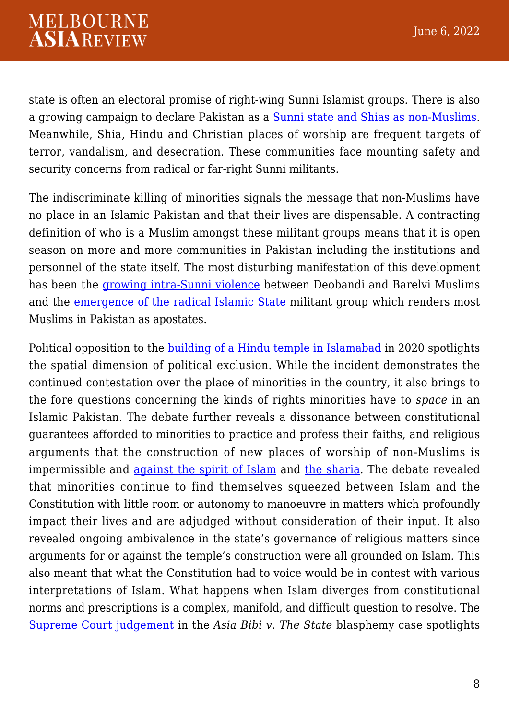state is often an electoral promise of right-wing Sunni Islamist groups. There is also a growing campaign to declare Pakistan as a [Sunni state and Shias as non-Muslims.](https://www.thenews.com.pk/tns/detail/563294-sipah-aswj) Meanwhile, Shia, Hindu and Christian places of worship are frequent targets of terror, vandalism, and desecration. These communities face mounting safety and security concerns from radical or far-right Sunni militants.

The indiscriminate killing of minorities signals the message that non-Muslims have no place in an Islamic Pakistan and that their lives are dispensable. A contracting definition of who is a Muslim amongst these militant groups means that it is open season on more and more communities in Pakistan including the institutions and personnel of the state itself. The most disturbing manifestation of this development has been the [growing intra-Sunni violence](https://www.theguardian.com/world/2014/jan/15/islam-pakistan-barelvi-saudi-wahhabi) between Deobandi and Barelvi Muslims and the [emergence of the radical Islamic State](https://www.hindustantimes.com/world-news/deputy-chairman-of-pakistan-s-senate-injured-in-roadside-blast-5-killed/story-Ud7JMyGOJUhoW3YQclPvPO.html) militant group which renders most Muslims in Pakistan as apostates.

Political opposition to the **building of a Hindu temple in Islamabad** in 2020 spotlights the spatial dimension of political exclusion. While the incident demonstrates the continued contestation over the place of minorities in the country, it also brings to the fore questions concerning the kinds of rights minorities have to *space* in an Islamic Pakistan. The debate further reveals a dissonance between constitutional guarantees afforded to minorities to practice and profess their faiths, and religious arguments that the construction of new places of worship of non-Muslims is impermissible and [against the spirit of Islam](https://www.theguardian.com/world/2020/jul/08/pakistan-shri-krishna-hindu-temple-construction-halted-islamabad) and [the sharia](https://www.rferl.org/a/pakistan-bows-to-islamic-hard-liners-to-halt-hindu-temple-construction/30731832.html). The debate revealed that minorities continue to find themselves squeezed between Islam and the Constitution with little room or autonomy to manoeuvre in matters which profoundly impact their lives and are adjudged without consideration of their input. It also revealed ongoing ambivalence in the state's governance of religious matters since arguments for or against the temple's construction were all grounded on Islam. This also meant that what the Constitution had to voice would be in contest with various interpretations of Islam. What happens when Islam diverges from constitutional norms and prescriptions is a complex, manifold, and difficult question to resolve. The [Supreme Court judgement](https://www.supremecourt.gov.pk/downloads_judgements/Crl.A._39_L_2015.pdf) in the *Asia Bibi v. The State* blasphemy case spotlights